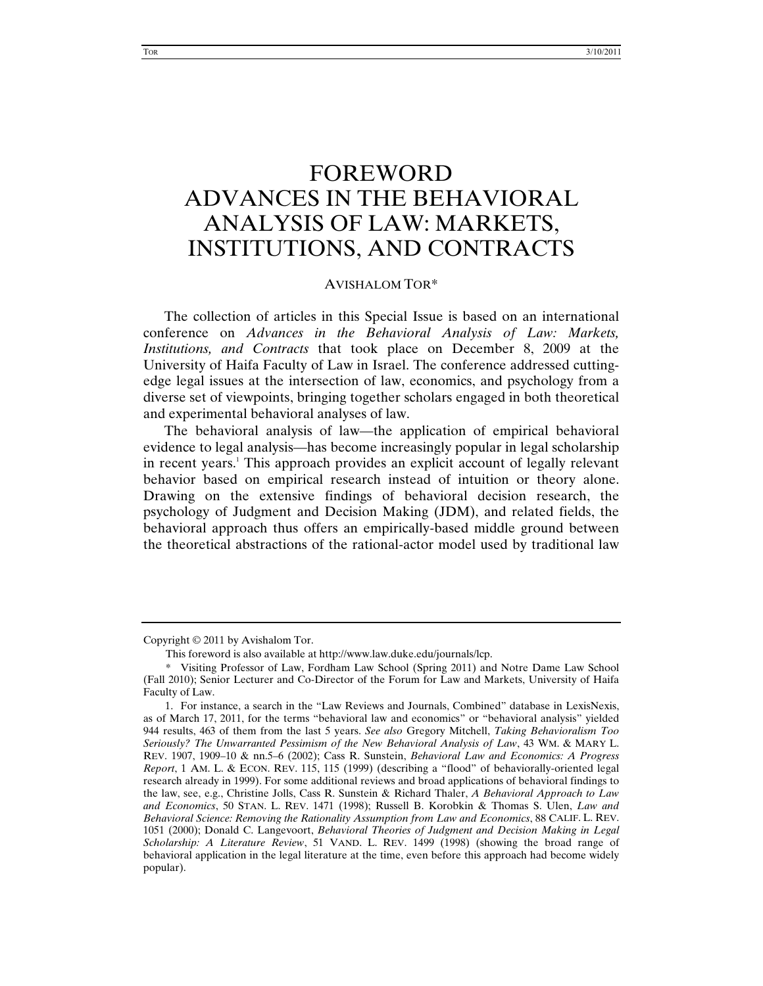## FOREWORD ADVANCES IN THE BEHAVIORAL ANALYSIS OF LAW: MARKETS, INSTITUTIONS, AND CONTRACTS

## AVISHALOM TOR\*

The collection of articles in this Special Issue is based on an international conference on *Advances in the Behavioral Analysis of Law: Markets, Institutions, and Contracts* that took place on December 8, 2009 at the University of Haifa Faculty of Law in Israel. The conference addressed cuttingedge legal issues at the intersection of law, economics, and psychology from a diverse set of viewpoints, bringing together scholars engaged in both theoretical and experimental behavioral analyses of law.

The behavioral analysis of law—the application of empirical behavioral evidence to legal analysis—has become increasingly popular in legal scholarship in recent years.<sup>1</sup> This approach provides an explicit account of legally relevant behavior based on empirical research instead of intuition or theory alone. Drawing on the extensive findings of behavioral decision research, the psychology of Judgment and Decision Making (JDM), and related fields, the behavioral approach thus offers an empirically-based middle ground between the theoretical abstractions of the rational-actor model used by traditional law

Copyright © 2011 by Avishalom Tor.

This foreword is also available at http://www.law.duke.edu/journals/lcp.

<sup>\*</sup> Visiting Professor of Law, Fordham Law School (Spring 2011) and Notre Dame Law School (Fall 2010); Senior Lecturer and Co-Director of the Forum for Law and Markets, University of Haifa Faculty of Law.

<sup>1.</sup> For instance, a search in the "Law Reviews and Journals, Combined" database in LexisNexis, as of March 17, 2011, for the terms "behavioral law and economics" or "behavioral analysis" yielded 944 results, 463 of them from the last 5 years. *See also* Gregory Mitchell, *Taking Behavioralism Too Seriously? The Unwarranted Pessimism of the New Behavioral Analysis of Law*, 43 WM. & MARY L. REV. 1907, 1909–10 & nn.5–6 (2002); Cass R. Sunstein, *Behavioral Law and Economics: A Progress Report*, 1 AM. L. & ECON. REV. 115, 115 (1999) (describing a "flood" of behaviorally-oriented legal research already in 1999). For some additional reviews and broad applications of behavioral findings to the law, see, e.g., Christine Jolls, Cass R. Sunstein & Richard Thaler, *A Behavioral Approach to Law and Economics*, 50 STAN. L. REV. 1471 (1998); Russell B. Korobkin & Thomas S. Ulen, *Law and Behavioral Science: Removing the Rationality Assumption from Law and Economics*, 88 CALIF. L. REV. 1051 (2000); Donald C. Langevoort, *Behavioral Theories of Judgment and Decision Making in Legal Scholarship: A Literature Review*, 51 VAND. L. REV. 1499 (1998) (showing the broad range of behavioral application in the legal literature at the time, even before this approach had become widely popular).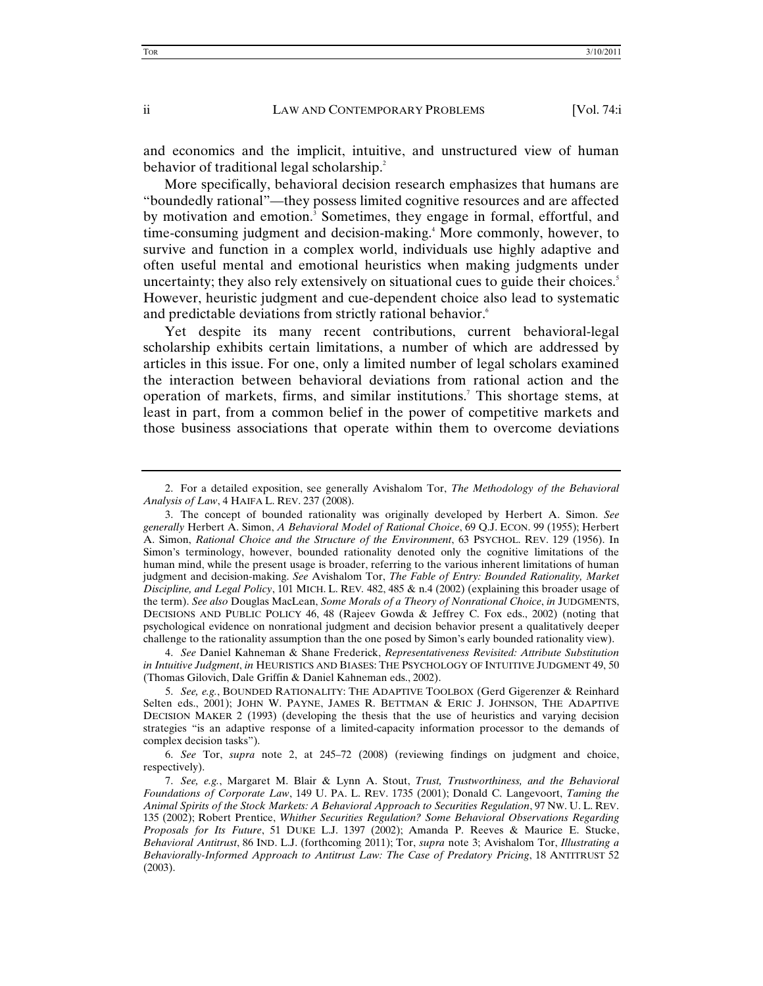and economics and the implicit, intuitive, and unstructured view of human behavior of traditional legal scholarship.<sup>2</sup>

More specifically, behavioral decision research emphasizes that humans are "boundedly rational"—they possess limited cognitive resources and are affected by motivation and emotion.<sup>3</sup> Sometimes, they engage in formal, effortful, and time-consuming judgment and decision-making.<sup>4</sup> More commonly, however, to survive and function in a complex world, individuals use highly adaptive and often useful mental and emotional heuristics when making judgments under uncertainty; they also rely extensively on situational cues to guide their choices. $\delta$ However, heuristic judgment and cue-dependent choice also lead to systematic and predictable deviations from strictly rational behavior.<sup>6</sup>

Yet despite its many recent contributions, current behavioral-legal scholarship exhibits certain limitations, a number of which are addressed by articles in this issue. For one, only a limited number of legal scholars examined the interaction between behavioral deviations from rational action and the operation of markets, firms, and similar institutions.7 This shortage stems, at least in part, from a common belief in the power of competitive markets and those business associations that operate within them to overcome deviations

 <sup>2.</sup> For a detailed exposition, see generally Avishalom Tor, *The Methodology of the Behavioral Analysis of Law*, 4 HAIFA L. REV. 237 (2008).

 <sup>3.</sup> The concept of bounded rationality was originally developed by Herbert A. Simon. *See generally* Herbert A. Simon, *A Behavioral Model of Rational Choice*, 69 Q.J. ECON. 99 (1955); Herbert A. Simon, *Rational Choice and the Structure of the Environment*, 63 PSYCHOL. REV. 129 (1956). In Simon's terminology, however, bounded rationality denoted only the cognitive limitations of the human mind, while the present usage is broader, referring to the various inherent limitations of human judgment and decision-making. *See* Avishalom Tor, *The Fable of Entry: Bounded Rationality, Market Discipline, and Legal Policy*, 101 MICH. L. REV*.* 482, 485 & n.4 (2002) (explaining this broader usage of the term). *See also* Douglas MacLean, *Some Morals of a Theory of Nonrational Choice*, *in* JUDGMENTS, DECISIONS AND PUBLIC POLICY 46, 48 (Rajeev Gowda & Jeffrey C. Fox eds., 2002) (noting that psychological evidence on nonrational judgment and decision behavior present a qualitatively deeper challenge to the rationality assumption than the one posed by Simon's early bounded rationality view).

<sup>4.</sup> *See* Daniel Kahneman & Shane Frederick, *Representativeness Revisited: Attribute Substitution in Intuitive Judgment*, *in* HEURISTICS AND BIASES: THE PSYCHOLOGY OF INTUITIVE JUDGMENT 49, 50 (Thomas Gilovich, Dale Griffin & Daniel Kahneman eds., 2002).

<sup>5.</sup> *See, e.g.*, BOUNDED RATIONALITY: THE ADAPTIVE TOOLBOX (Gerd Gigerenzer & Reinhard Selten eds., 2001); JOHN W. PAYNE, JAMES R. BETTMAN & ERIC J. JOHNSON, THE ADAPTIVE DECISION MAKER 2 (1993) (developing the thesis that the use of heuristics and varying decision strategies "is an adaptive response of a limited-capacity information processor to the demands of complex decision tasks").

<sup>6.</sup> *See* Tor, *supra* note 2, at 245–72 (2008) (reviewing findings on judgment and choice, respectively).

<sup>7.</sup> *See, e.g.*, Margaret M. Blair & Lynn A. Stout, *Trust, Trustworthiness, and the Behavioral Foundations of Corporate Law*, 149 U. PA. L. REV. 1735 (2001); Donald C. Langevoort, *Taming the Animal Spirits of the Stock Markets: A Behavioral Approach to Securities Regulation*, 97 NW. U. L. REV. 135 (2002); Robert Prentice, *Whither Securities Regulation? Some Behavioral Observations Regarding Proposals for Its Future*, 51 DUKE L.J. 1397 (2002); Amanda P. Reeves & Maurice E. Stucke, *Behavioral Antitrust*, 86 IND. L.J. (forthcoming 2011); Tor, *supra* note 3; Avishalom Tor, *Illustrating a Behaviorally-Informed Approach to Antitrust Law: The Case of Predatory Pricing*, 18 ANTITRUST 52 (2003).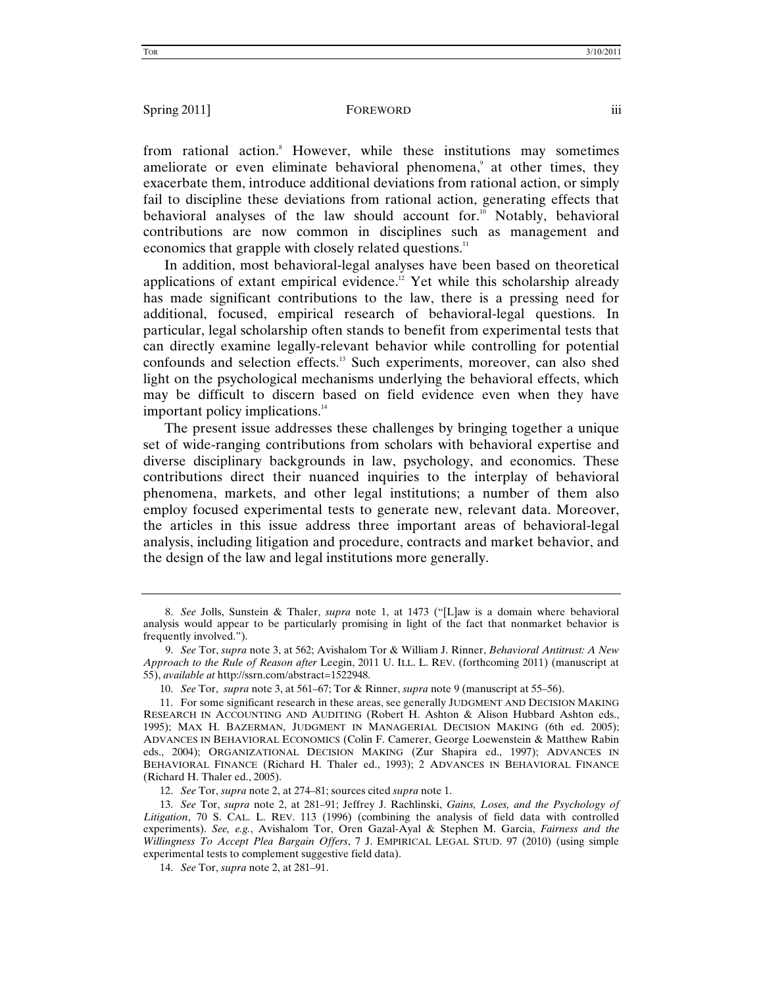from rational action.<sup>8</sup> However, while these institutions may sometimes ameliorate or even eliminate behavioral phenomena,<sup>9</sup> at other times, they exacerbate them, introduce additional deviations from rational action, or simply fail to discipline these deviations from rational action, generating effects that behavioral analyses of the law should account for.<sup>10</sup> Notably, behavioral contributions are now common in disciplines such as management and economics that grapple with closely related questions.<sup>11</sup>

In addition, most behavioral-legal analyses have been based on theoretical applications of extant empirical evidence.<sup>12</sup> Yet while this scholarship already has made significant contributions to the law, there is a pressing need for additional, focused, empirical research of behavioral-legal questions. In particular, legal scholarship often stands to benefit from experimental tests that can directly examine legally-relevant behavior while controlling for potential confounds and selection effects.<sup>13</sup> Such experiments, moreover, can also shed light on the psychological mechanisms underlying the behavioral effects, which may be difficult to discern based on field evidence even when they have important policy implications.<sup>14</sup>

The present issue addresses these challenges by bringing together a unique set of wide-ranging contributions from scholars with behavioral expertise and diverse disciplinary backgrounds in law, psychology, and economics. These contributions direct their nuanced inquiries to the interplay of behavioral phenomena, markets, and other legal institutions; a number of them also employ focused experimental tests to generate new, relevant data. Moreover, the articles in this issue address three important areas of behavioral-legal analysis, including litigation and procedure, contracts and market behavior, and the design of the law and legal institutions more generally.

<sup>8.</sup> *See* Jolls, Sunstein & Thaler, *supra* note 1, at 1473 ("[L]aw is a domain where behavioral analysis would appear to be particularly promising in light of the fact that nonmarket behavior is frequently involved.").

<sup>9.</sup> *See* Tor, *supra* note 3, at 562; Avishalom Tor & William J. Rinner, *Behavioral Antitrust: A New Approach to the Rule of Reason after* Leegin, 2011 U. ILL. L. REV. (forthcoming 2011) (manuscript at 55), *available at* http://ssrn.com/abstract=1522948.

<sup>10.</sup> *See* Tor, *supra* note 3, at 561–67; Tor & Rinner, *supra* note 9 (manuscript at 55–56).

 <sup>11.</sup> For some significant research in these areas, see generally JUDGMENT AND DECISION MAKING RESEARCH IN ACCOUNTING AND AUDITING (Robert H. Ashton & Alison Hubbard Ashton eds., 1995); MAX H. BAZERMAN, JUDGMENT IN MANAGERIAL DECISION MAKING (6th ed. 2005); ADVANCES IN BEHAVIORAL ECONOMICS (Colin F. Camerer, George Loewenstein & Matthew Rabin eds., 2004); ORGANIZATIONAL DECISION MAKING (Zur Shapira ed., 1997); ADVANCES IN BEHAVIORAL FINANCE (Richard H. Thaler ed., 1993); 2 ADVANCES IN BEHAVIORAL FINANCE (Richard H. Thaler ed., 2005).

<sup>12.</sup> *See* Tor, *supra* note 2, at 274–81; sources cited *supra* note 1.

<sup>13.</sup> *See* Tor, *supra* note 2, at 281–91; Jeffrey J. Rachlinski, *Gains, Loses, and the Psychology of Litigation*, 70 S. CAL. L. REV. 113 (1996) (combining the analysis of field data with controlled experiments). *See, e.g.*, Avishalom Tor, Oren Gazal-Ayal & Stephen M. Garcia, *Fairness and the Willingness To Accept Plea Bargain Offers*, 7 J. EMPIRICAL LEGAL STUD. 97 (2010) (using simple experimental tests to complement suggestive field data).

<sup>14.</sup> *See* Tor, *supra* note 2, at 281–91.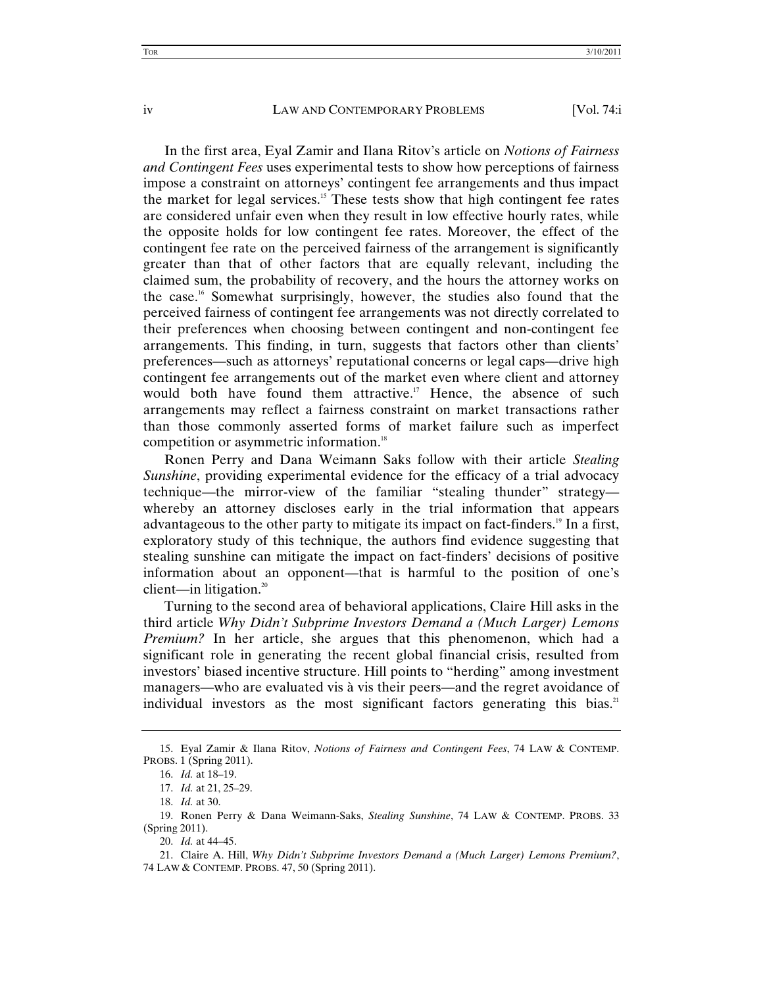In the first area, Eyal Zamir and Ilana Ritov's article on *Notions of Fairness and Contingent Fees* uses experimental tests to show how perceptions of fairness impose a constraint on attorneys' contingent fee arrangements and thus impact the market for legal services.<sup>15</sup> These tests show that high contingent fee rates are considered unfair even when they result in low effective hourly rates, while the opposite holds for low contingent fee rates. Moreover, the effect of the contingent fee rate on the perceived fairness of the arrangement is significantly greater than that of other factors that are equally relevant, including the claimed sum, the probability of recovery, and the hours the attorney works on the case.16 Somewhat surprisingly, however, the studies also found that the perceived fairness of contingent fee arrangements was not directly correlated to their preferences when choosing between contingent and non-contingent fee arrangements. This finding, in turn, suggests that factors other than clients' preferences—such as attorneys' reputational concerns or legal caps—drive high contingent fee arrangements out of the market even where client and attorney would both have found them attractive.<sup>17</sup> Hence, the absence of such arrangements may reflect a fairness constraint on market transactions rather than those commonly asserted forms of market failure such as imperfect competition or asymmetric information.<sup>18</sup>

Ronen Perry and Dana Weimann Saks follow with their article *Stealing Sunshine*, providing experimental evidence for the efficacy of a trial advocacy technique—the mirror-view of the familiar "stealing thunder" strategy whereby an attorney discloses early in the trial information that appears advantageous to the other party to mitigate its impact on fact-finders.<sup>19</sup> In a first, exploratory study of this technique, the authors find evidence suggesting that stealing sunshine can mitigate the impact on fact-finders' decisions of positive information about an opponent—that is harmful to the position of one's client—in litigation.<sup>20</sup>

Turning to the second area of behavioral applications, Claire Hill asks in the third article *Why Didn't Subprime Investors Demand a (Much Larger) Lemons Premium?* In her article, she argues that this phenomenon, which had a significant role in generating the recent global financial crisis, resulted from investors' biased incentive structure. Hill points to "herding" among investment managers—who are evaluated vis à vis their peers—and the regret avoidance of individual investors as the most significant factors generating this bias. $21$ 

 <sup>15.</sup> Eyal Zamir & Ilana Ritov, *Notions of Fairness and Contingent Fees*, 74 LAW & CONTEMP. PROBS. 1 (Spring 2011).

<sup>16.</sup> *Id.* at 18–19.

<sup>17.</sup> *Id.* at 21, 25–29.

<sup>18.</sup> *Id.* at 30.

 <sup>19.</sup> Ronen Perry & Dana Weimann-Saks, *Stealing Sunshine*, 74 LAW & CONTEMP. PROBS. 33 (Spring 2011).

<sup>20.</sup> *Id.* at 44–45.

 <sup>21.</sup> Claire A. Hill, *Why Didn't Subprime Investors Demand a (Much Larger) Lemons Premium?*, 74 LAW & CONTEMP. PROBS. 47, 50 (Spring 2011).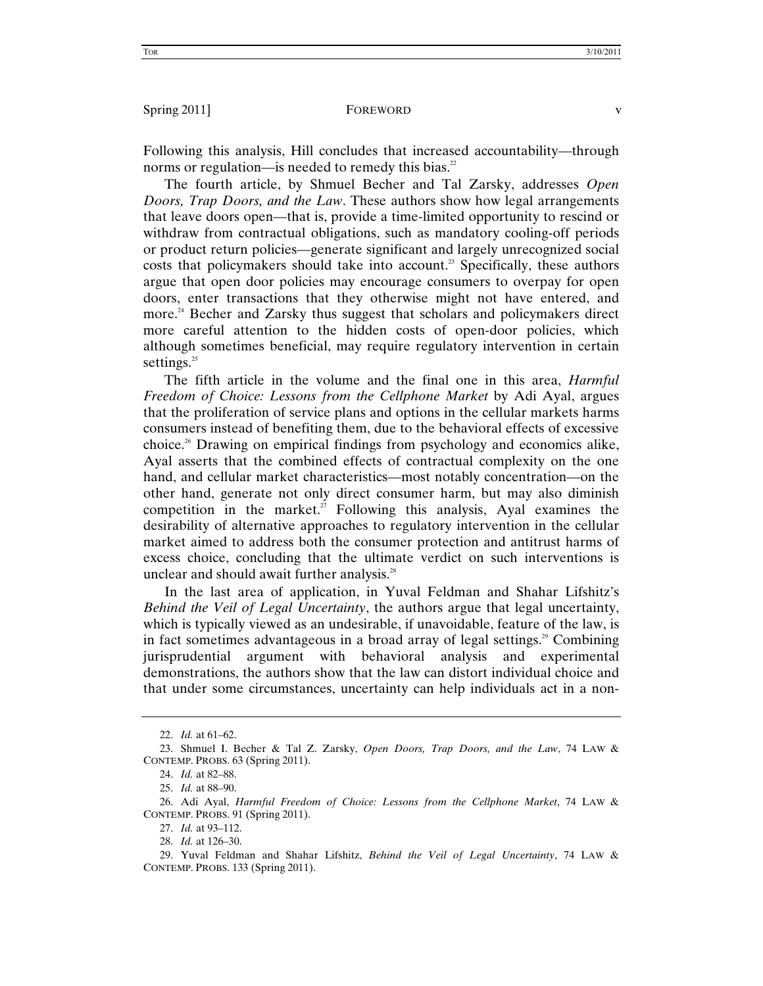Following this analysis, Hill concludes that increased accountability—through norms or regulation—is needed to remedy this bias.<sup>22</sup>

The fourth article, by Shmuel Becher and Tal Zarsky, addresses *Open Doors, Trap Doors, and the Law*. These authors show how legal arrangements that leave doors open—that is, provide a time-limited opportunity to rescind or withdraw from contractual obligations, such as mandatory cooling-off periods or product return policies—generate significant and largely unrecognized social costs that policymakers should take into account.<sup>23</sup> Specifically, these authors argue that open door policies may encourage consumers to overpay for open doors, enter transactions that they otherwise might not have entered, and more.<sup>24</sup> Becher and Zarsky thus suggest that scholars and policymakers direct more careful attention to the hidden costs of open-door policies, which although sometimes beneficial, may require regulatory intervention in certain settings. $25$ 

The fifth article in the volume and the final one in this area, *Harmful Freedom of Choice: Lessons from the Cellphone Market* by Adi Ayal, argues that the proliferation of service plans and options in the cellular markets harms consumers instead of benefiting them, due to the behavioral effects of excessive choice.<sup>26</sup> Drawing on empirical findings from psychology and economics alike, Ayal asserts that the combined effects of contractual complexity on the one hand, and cellular market characteristics—most notably concentration—on the other hand, generate not only direct consumer harm, but may also diminish competition in the market.<sup>27</sup> Following this analysis, Ayal examines the desirability of alternative approaches to regulatory intervention in the cellular market aimed to address both the consumer protection and antitrust harms of excess choice, concluding that the ultimate verdict on such interventions is unclear and should await further analysis.<sup>28</sup>

In the last area of application, in Yuval Feldman and Shahar Lifshitz's *Behind the Veil of Legal Uncertainty*, the authors argue that legal uncertainty, which is typically viewed as an undesirable, if unavoidable, feature of the law, is in fact sometimes advantageous in a broad array of legal settings.<sup>29</sup> Combining jurisprudential argument with behavioral analysis and experimental demonstrations, the authors show that the law can distort individual choice and that under some circumstances, uncertainty can help individuals act in a non-

<sup>22.</sup> *Id.* at 61–62.

 <sup>23.</sup> Shmuel I. Becher & Tal Z. Zarsky, *Open Doors, Trap Doors, and the Law*, 74 LAW & CONTEMP. PROBS. 63 (Spring 2011).

<sup>24.</sup> *Id.* at 82–88.

<sup>25.</sup> *Id.* at 88–90.

 <sup>26.</sup> Adi Ayal, *Harmful Freedom of Choice: Lessons from the Cellphone Market*, 74 LAW & CONTEMP. PROBS. 91 (Spring 2011).

<sup>27.</sup> *Id.* at 93–112.

<sup>28.</sup> *Id.* at 126–30.

 <sup>29.</sup> Yuval Feldman and Shahar Lifshitz, *Behind the Veil of Legal Uncertainty*, 74 LAW & CONTEMP. PROBS. 133 (Spring 2011).